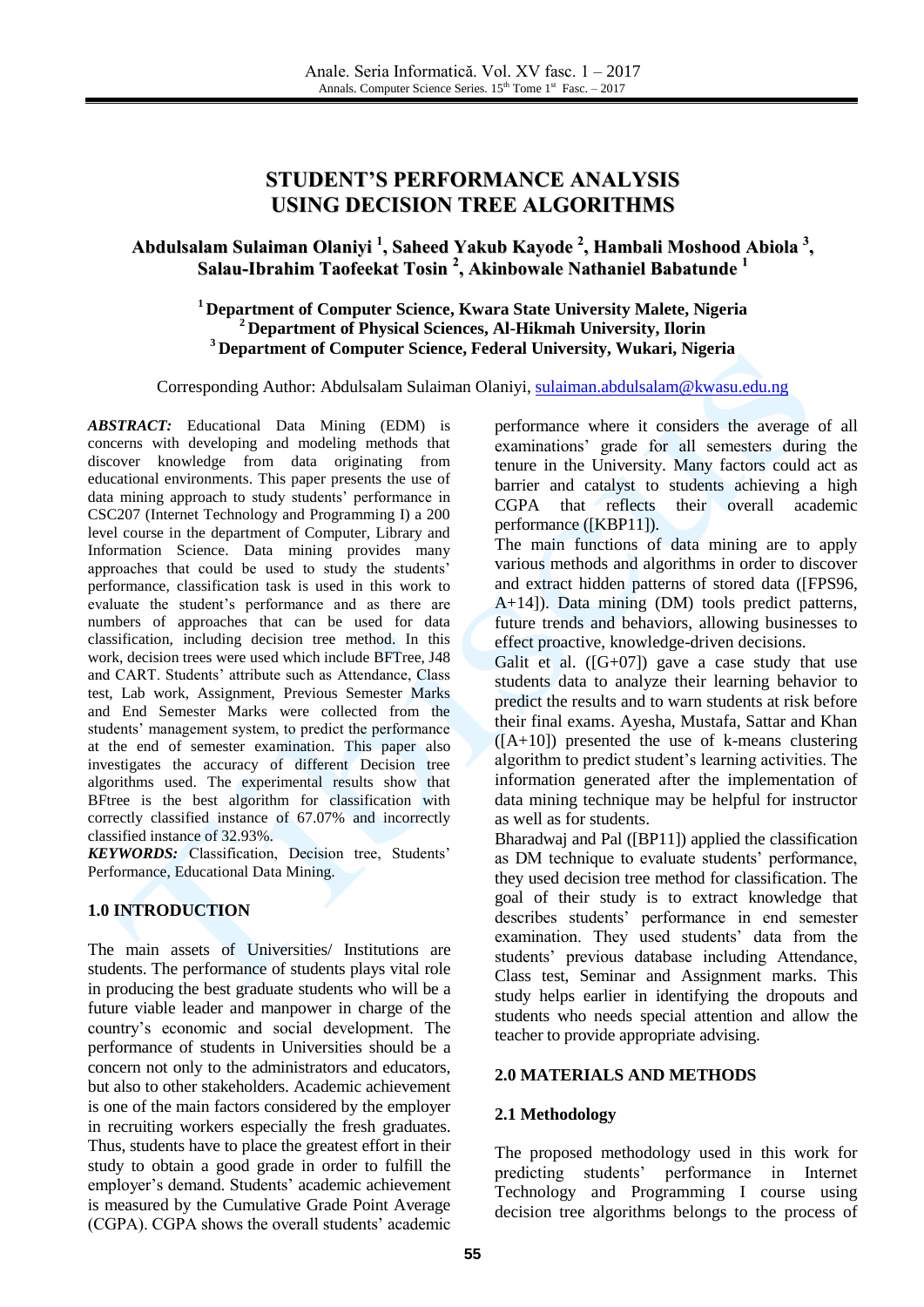# **STUDENT'S PERFORMANCE ANALYSIS USING DECISION TREE ALGORITHMS**

# **Abdulsalam Sulaiman Olaniyi 1 , Saheed Yakub Kayode 2 , Hambali Moshood Abiola 3 , Salau-Ibrahim Taofeekat Tosin 2 , Akinbowale Nathaniel Babatunde 1**

### **<sup>1</sup> Department of Computer Science, Kwara State University Malete, Nigeria <sup>2</sup> Department of Physical Sciences, Al-Hikmah University, Ilorin <sup>3</sup> Department of Computer Science, Federal University, Wukari, Nigeria**

Corresponding Author: Abdulsalam Sulaiman Olaniyi, [sulaiman.abdulsalam@kwasu.edu.ng](mailto:sulaiman.abdulsalam@kwasu.edu.ng)

*ABSTRACT:* Educational Data Mining (EDM) is concerns with developing and modeling methods that discover knowledge from data originating from educational environments. This paper presents the use of data mining approach to study students' performance in CSC207 (Internet Technology and Programming I) a 200 level course in the department of Computer, Library and Information Science. Data mining provides many approaches that could be used to study the students' performance, classification task is used in this work to evaluate the student's performance and as there are numbers of approaches that can be used for data classification, including decision tree method. In this work, decision trees were used which include BFTree, J48 and CART. Students' attribute such as Attendance, Class test, Lab work, Assignment, Previous Semester Marks and End Semester Marks were collected from the students' management system, to predict the performance at the end of semester examination. This paper also investigates the accuracy of different Decision tree algorithms used. The experimental results show that BFtree is the best algorithm for classification with correctly classified instance of 67.07% and incorrectly classified instance of 32.93%.

*KEYWORDS:* Classification, Decision tree, Students' Performance, Educational Data Mining.

### **1.0 INTRODUCTION**

The main assets of Universities/ Institutions are students. The performance of students plays vital role in producing the best graduate students who will be a future viable leader and manpower in charge of the country's economic and social development. The performance of students in Universities should be a concern not only to the administrators and educators, but also to other stakeholders. Academic achievement is one of the main factors considered by the employer in recruiting workers especially the fresh graduates. Thus, students have to place the greatest effort in their study to obtain a good grade in order to fulfill the employer's demand. Students' academic achievement is measured by the Cumulative Grade Point Average (CGPA). CGPA shows the overall students' academic

performance where it considers the average of all examinations' grade for all semesters during the tenure in the University. Many factors could act as barrier and catalyst to students achieving a high CGPA that reflects their overall academic performance ([KBP11]).

The main functions of data mining are to apply various methods and algorithms in order to discover and extract hidden patterns of stored data ([FPS96, A+14]). Data mining (DM) tools predict patterns, future trends and behaviors, allowing businesses to effect proactive, knowledge-driven decisions.

Galit et al.  $([G+07])$  gave a case study that use students data to analyze their learning behavior to predict the results and to warn students at risk before their final exams. Ayesha, Mustafa, Sattar and Khan  $(IA+10)$  presented the use of k-means clustering algorithm to predict student's learning activities. The information generated after the implementation of data mining technique may be helpful for instructor as well as for students.

Bharadwaj and Pal ([BP11]) applied the classification as DM technique to evaluate students' performance, they used decision tree method for classification. The goal of their study is to extract knowledge that describes students' performance in end semester examination. They used students' data from the students' previous database including Attendance, Class test, Seminar and Assignment marks. This study helps earlier in identifying the dropouts and students who needs special attention and allow the teacher to provide appropriate advising.

### **2.0 MATERIALS AND METHODS**

### **2.1 Methodology**

The proposed methodology used in this work for predicting students' performance in Internet Technology and Programming I course using decision tree algorithms belongs to the process of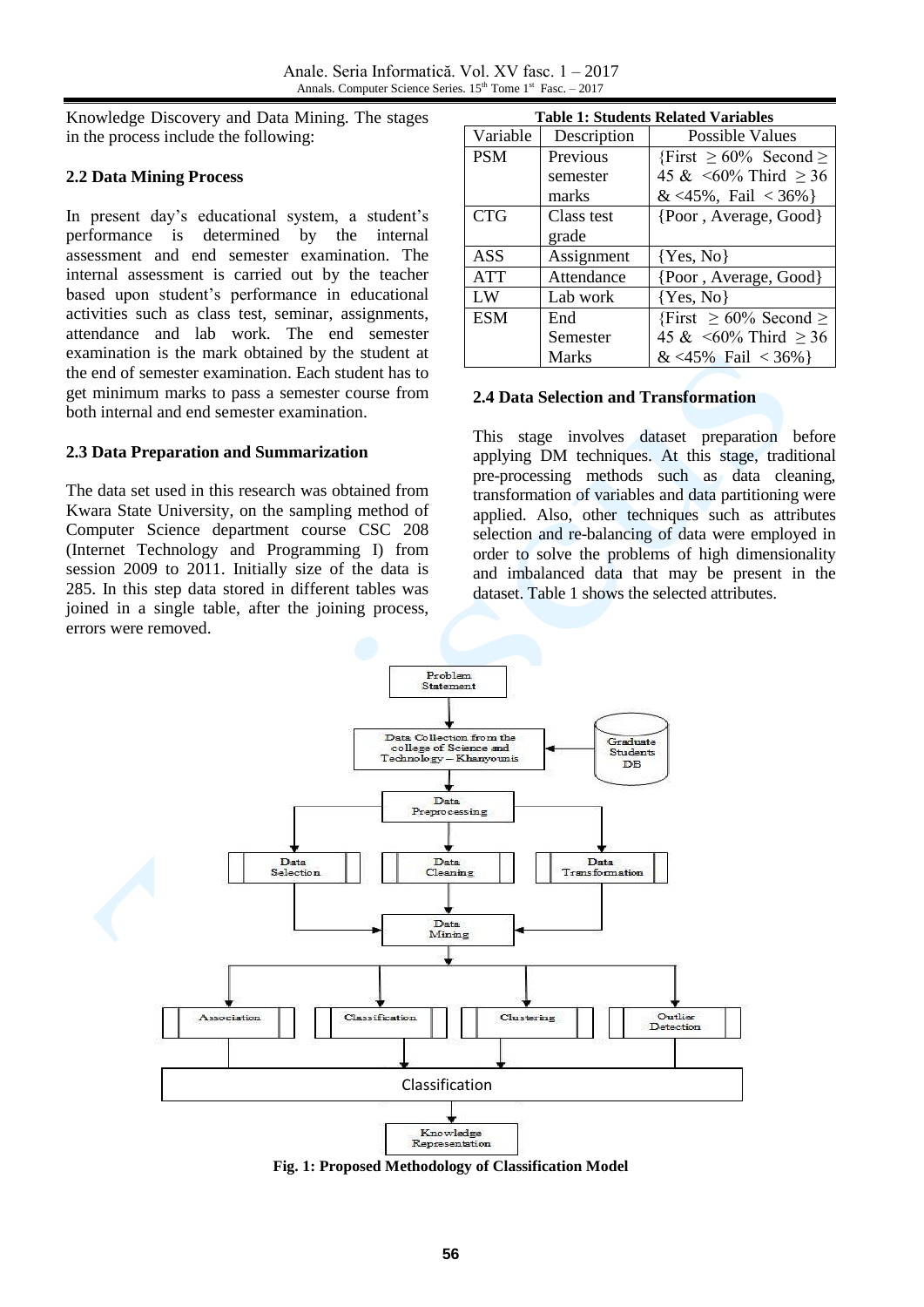Knowledge Discovery and Data Mining. The stages in the process include the following:

## **2.2 Data Mining Process**

In present day's educational system, a student's performance is determined by the internal assessment and end semester examination. The internal assessment is carried out by the teacher based upon student's performance in educational activities such as class test, seminar, assignments, attendance and lab work. The end semester examination is the mark obtained by the student at the end of semester examination. Each student has to get minimum marks to pass a semester course from both internal and end semester examination.

### **2.3 Data Preparation and Summarization**

The data set used in this research was obtained from Kwara State University, on the sampling method of Computer Science department course CSC 208 (Internet Technology and Programming I) from session 2009 to 2011. Initially size of the data is 285. In this step data stored in different tables was joined in a single table, after the joining process, errors were removed.

|            |             | <b>Table 1: Students Related Variables</b> |
|------------|-------------|--------------------------------------------|
| Variable   | Description | Possible Values                            |
| <b>PSM</b> | Previous    | {First $\geq 60\%$ Second $\geq$           |
|            | semester    | 45 & $\leq 60\%$ Third $\geq 36$           |
|            | marks       | & <45%, Fail < 36%}                        |
| <b>CTG</b> | Class test  | {Poor, Average, Good}                      |
|            | grade       |                                            |
| ASS        | Assignment  | $\{Yes, No\}$                              |
| <b>ATT</b> | Attendance  | {Poor, Average, Good}                      |
| LW         | Lab work    | $\{Yes, No\}$                              |
| <b>ESM</b> | End         | {First $\geq 60\%$ Second $\geq$           |
|            | Semester    | 45 & $\leq 60\%$ Third $\geq 36$           |
|            | Marks       | & <45% Fail < 36% }                        |

### **2.4 Data Selection and Transformation**

This stage involves dataset preparation before applying DM techniques. At this stage, traditional pre-processing methods such as data cleaning, transformation of variables and data partitioning were applied. Also, other techniques such as attributes selection and re-balancing of data were employed in order to solve the problems of high dimensionality and imbalanced data that may be present in the dataset. Table 1 shows the selected attributes.



**Fig. 1: Proposed Methodology of Classification Model**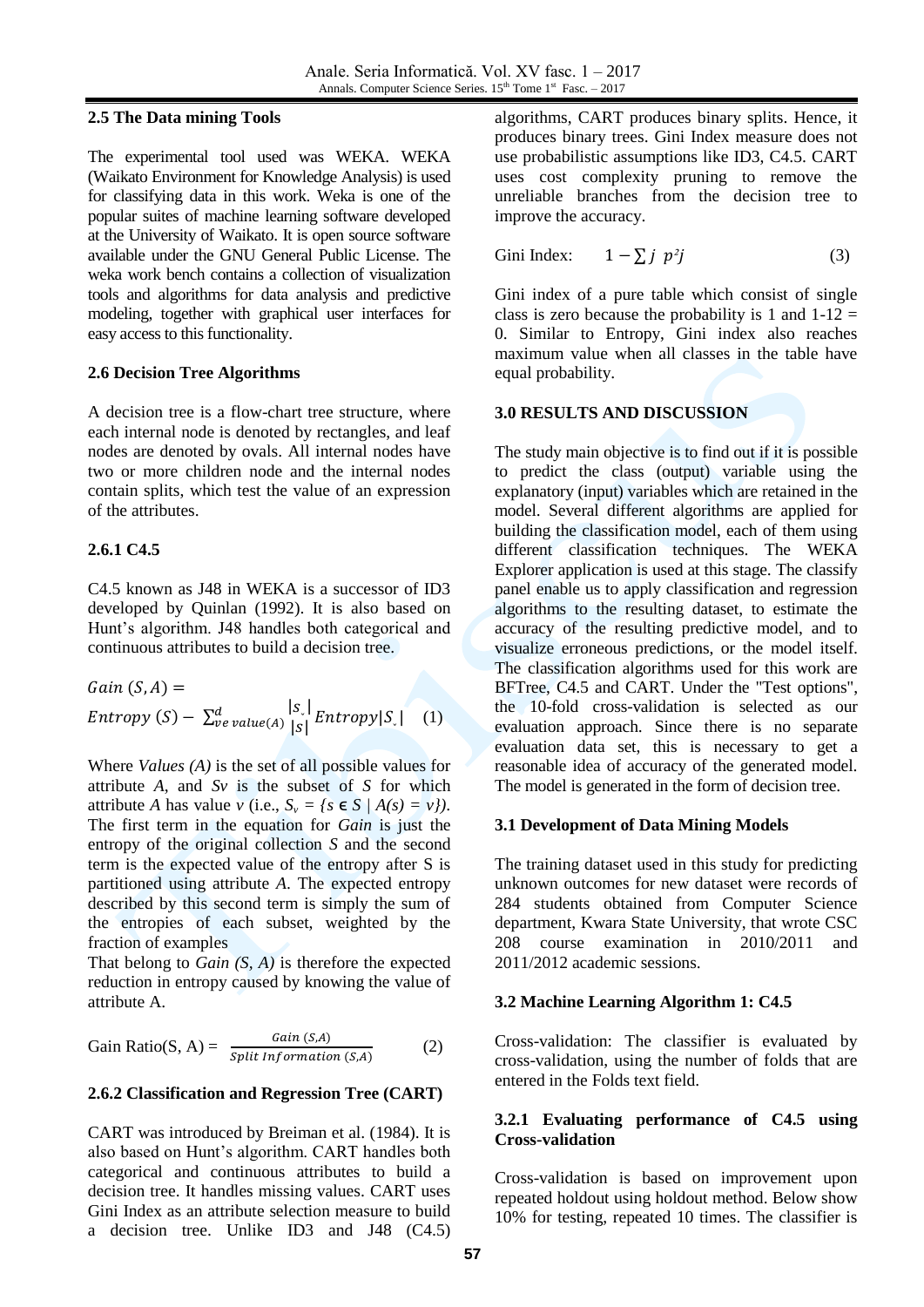### **2.5 The Data mining Tools**

The experimental tool used was WEKA. WEKA (Waikato Environment for Knowledge Analysis) is used for classifying data in this work. Weka is one of the popular suites of machine learning software developed at the University of Waikato. It is open source software available under the GNU General Public License. The weka work bench contains a collection of visualization tools and algorithms for data analysis and predictive modeling, together with graphical user interfaces for easy access to this functionality.

## **2.6 Decision Tree Algorithms**

A decision tree is a flow-chart tree structure, where each internal node is denoted by rectangles, and leaf nodes are denoted by ovals. All internal nodes have two or more children node and the internal nodes contain splits, which test the value of an expression of the attributes.

## **2.6.1 C4.5**

C4.5 known as J48 in WEKA is a successor of ID3 developed by Quinlan (1992). It is also based on Hunt's algorithm. J48 handles both categorical and continuous attributes to build a decision tree.

Gain 
$$
(S, A)
$$
 =  
\nEntropy  $(S) - \sum_{ve \ value(A)}^d \left| \begin{array}{c} |S| \\ |S| \end{array} \right| Entropy |S|$  (1)

Where *Values (A)* is the set of all possible values for attribute *A*, and *Sv* is the subset of *S* for which attribute *A* has value *v* (i.e.,  $S_v = \{s \in S \mid A(s) = v\}$ ). The first term in the equation for *Gain* is just the entropy of the original collection *S* and the second term is the expected value of the entropy after S is partitioned using attribute *A*. The expected entropy described by this second term is simply the sum of the entropies of each subset, weighted by the fraction of examples

That belong to *Gain (S, A)* is therefore the expected reduction in entropy caused by knowing the value of attribute A.

Gain Ratio(S, A) = 
$$
\frac{Gain (S, A)}{Split Information (S, A)}
$$
 (2)

## **2.6.2 Classification and Regression Tree (CART)**

CART was introduced by Breiman et al. (1984). It is also based on Hunt's algorithm. CART handles both categorical and continuous attributes to build a decision tree. It handles missing values. CART uses Gini Index as an attribute selection measure to build a decision tree. Unlike ID3 and J48 (C4.5) algorithms, CART produces binary splits. Hence, it produces binary trees. Gini Index measure does not use probabilistic assumptions like ID3, C4.5. CART uses cost complexity pruning to remove the unreliable branches from the decision tree to improve the accuracy.

Gini Index: 
$$
1 - \sum j \ p^2 j
$$
 (3)

Gini index of a pure table which consist of single class is zero because the probability is 1 and  $1-12 =$ 0. Similar to Entropy, Gini index also reaches maximum value when all classes in the table have equal probability.

## **3.0 RESULTS AND DISCUSSION**

The study main objective is to find out if it is possible to predict the class (output) variable using the explanatory (input) variables which are retained in the model. Several different algorithms are applied for building the classification model, each of them using different classification techniques. The WEKA Explorer application is used at this stage. The classify panel enable us to apply classification and regression algorithms to the resulting dataset, to estimate the accuracy of the resulting predictive model, and to visualize erroneous predictions, or the model itself. The classification algorithms used for this work are BFTree, C4.5 and CART. Under the "Test options", the 10-fold cross-validation is selected as our evaluation approach. Since there is no separate evaluation data set, this is necessary to get a reasonable idea of accuracy of the generated model. The model is generated in the form of decision tree.

## **3.1 Development of Data Mining Models**

The training dataset used in this study for predicting unknown outcomes for new dataset were records of 284 students obtained from Computer Science department, Kwara State University, that wrote CSC 208 course examination in 2010/2011 and 2011/2012 academic sessions.

# **3.2 Machine Learning Algorithm 1: C4.5**

Cross-validation: The classifier is evaluated by cross-validation, using the number of folds that are entered in the Folds text field.

## **3.2.1 Evaluating performance of C4.5 using Cross-validation**

Cross-validation is based on improvement upon repeated holdout using holdout method. Below show 10% for testing, repeated 10 times. The classifier is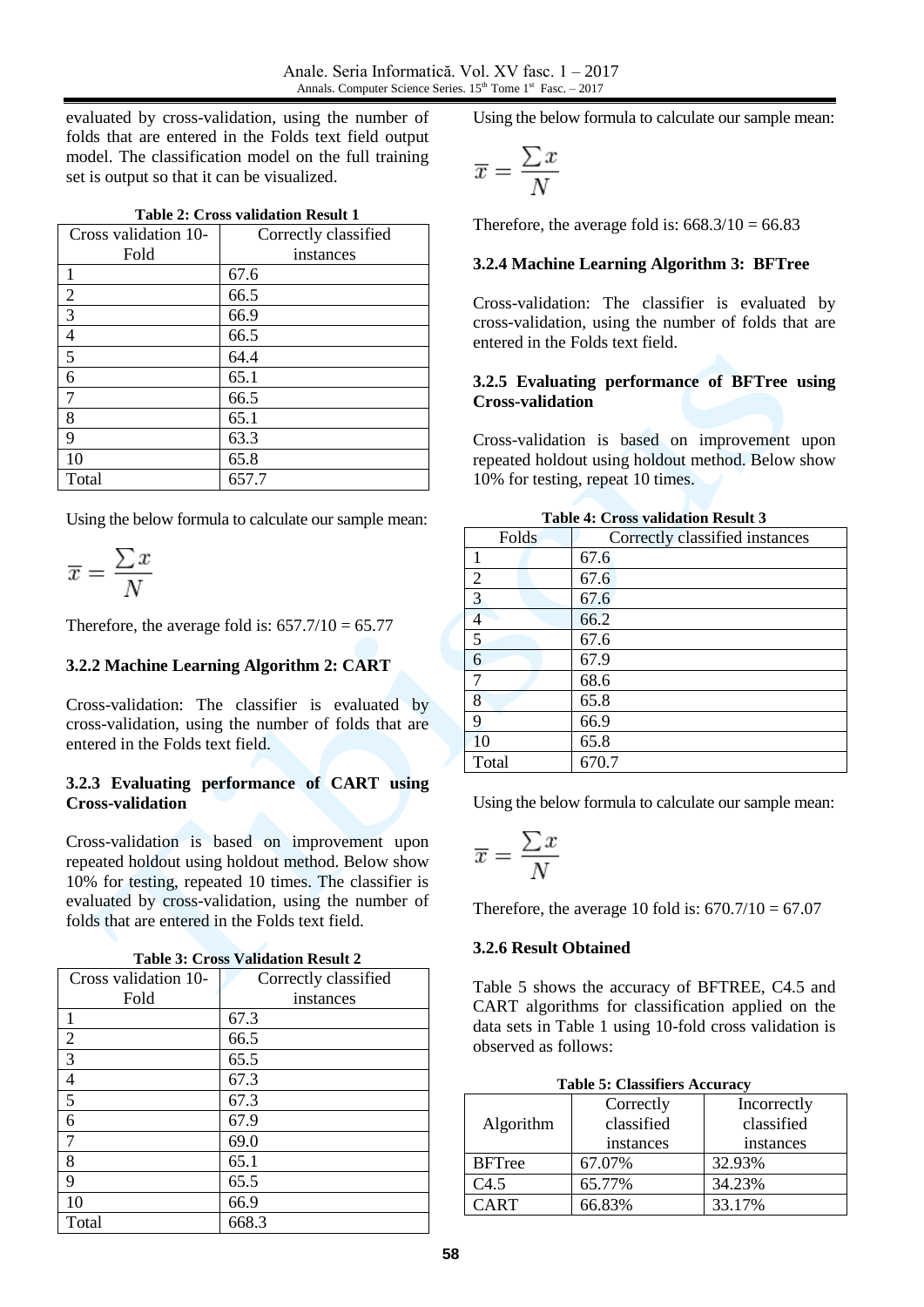evaluated by cross-validation, using the number of folds that are entered in the Folds text field output model. The classification model on the full training set is output so that it can be visualized.

|--|

| Cross validation 10- | Correctly classified |
|----------------------|----------------------|
| Fold                 | instances            |
| $\mathbf{1}$         | 67.6                 |
| 2                    | 66.5                 |
| $\overline{3}$       | 66.9                 |
| $\overline{4}$       | 66.5                 |
| 5                    | 64.4                 |
| 6                    | 65.1                 |
| 7                    | 66.5                 |
| 8                    | 65.1                 |
| 9                    | 63.3                 |
| 10                   | 65.8                 |
| Total                | 657.7                |

Using the below formula to calculate our sample mean:

$$
\overline{x} = \frac{\sum x}{N}
$$

Therefore, the average fold is:  $657.7/10 = 65.77$ 

#### **3.2.2 Machine Learning Algorithm 2: CART**

Cross-validation: The classifier is evaluated by cross-validation, using the number of folds that are entered in the Folds text field.

#### **3.2.3 Evaluating performance of CART using Cross-validation**

Cross-validation is based on improvement upon repeated holdout using holdout method. Below show 10% for testing, repeated 10 times. The classifier is evaluated by cross-validation, using the number of folds that are entered in the Folds text field.

| Table 3: Cross Validation Result 2 |
|------------------------------------|
|------------------------------------|

| Cross validation 10- | Correctly classified |
|----------------------|----------------------|
| Fold                 | instances            |
|                      | 67.3                 |
| 2                    | 66.5                 |
| $\overline{3}$       | 65.5                 |
| $\overline{4}$       | 67.3                 |
| 5                    | 67.3                 |
| 6                    | 67.9                 |
| 7                    | 69.0                 |
| 8                    | 65.1                 |
| 9                    | 65.5                 |
| 10                   | 66.9                 |
| Total                | 668.3                |

Using the below formula to calculate our sample mean:

$$
\overline{x} = \frac{\sum x}{N}
$$

Therefore, the average fold is:  $668.3/10 = 66.83$ 

### **3.2.4 Machine Learning Algorithm 3: BFTree**

Cross-validation: The classifier is evaluated by cross-validation, using the number of folds that are entered in the Folds text field.

#### **3.2.5 Evaluating performance of BFTree using Cross-validation**

Cross-validation is based on improvement upon repeated holdout using holdout method. Below show 10% for testing, repeat 10 times.

|                | Table 7. Cross vanuation Result 5 |
|----------------|-----------------------------------|
| Folds          | Correctly classified instances    |
|                | 67.6                              |
| $\overline{2}$ | 67.6                              |
| $\overline{3}$ | 67.6                              |
| $\overline{4}$ | 66.2                              |
| 5              | 67.6                              |
| 6              | 67.9                              |
| 7              | 68.6                              |
| 8              | 65.8                              |
| 9              | 66.9                              |
| 10             | 65.8                              |
| Total          | 670.7                             |
|                |                                   |

**Table 4: Cross validation Result 3**

Using the below formula to calculate our sample mean:

$$
\overline{x} = \frac{\sum x}{N}
$$

Therefore, the average 10 fold is:  $670.7/10 = 67.07$ 

#### **3.2.6 Result Obtained**

Table 5 shows the accuracy of BFTREE, C4.5 and CART algorithms for classification applied on the data sets in Table 1 using 10-fold cross validation is observed as follows:

|               | <b>Table 5: Classifiers Accuracy</b> |             |
|---------------|--------------------------------------|-------------|
|               | Correctly                            | Incorrectly |
| Algorithm     | classified                           | classified  |
|               | instances                            | instances   |
| <b>BFTree</b> | 67.07%                               | 32.93%      |
| C4.5          | 65.77%                               | 34.23%      |
| <b>CART</b>   | 66.83%                               | 33.17%      |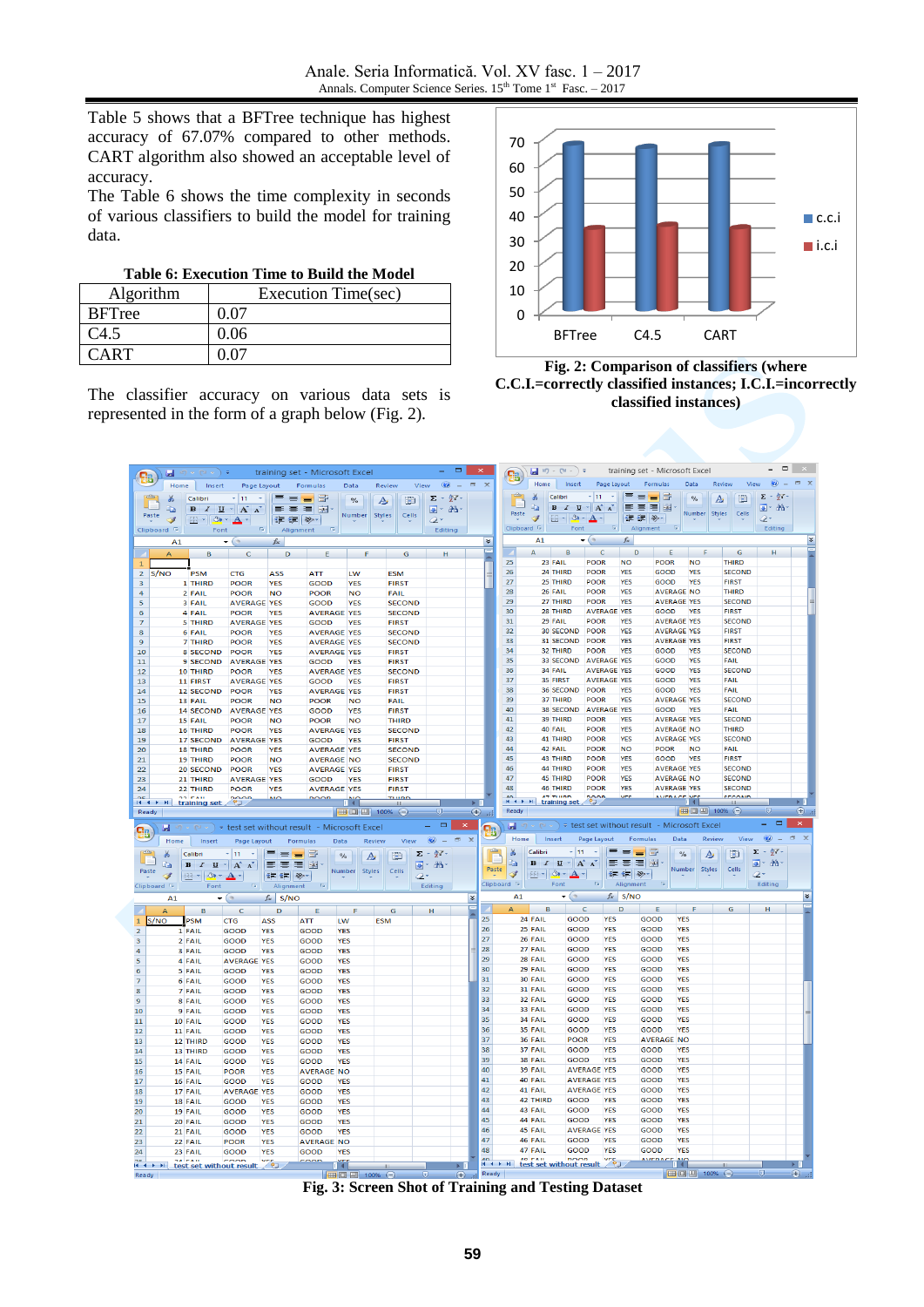Table 5 shows that a BFTree technique has highest accuracy of 67.07% compared to other methods. CART algorithm also showed an acceptable level of accuracy.

The Table 6 shows the time complexity in seconds of various classifiers to build the model for training data.

|  | Table 6: Execution Time to Build the Model |
|--|--------------------------------------------|
|--|--------------------------------------------|

| Algorithm     | Execution Time(sec) |
|---------------|---------------------|
| <b>BFTree</b> | 0.07                |
| C4.5          | 0.06                |
| `ART          |                     |

The classifier accuracy on various data sets is represented in the form of a graph below (Fig. 2).



**Fig. 2: Comparison of classifiers (where C.C.I.=correctly classified instances; I.C.I.=incorrectly classified instances)**

| <b>B</b>                                | я                      | $\mathbb{E} \left( \mathbb{P} \left( \mathbb{P} \left( \mathbb{P} \right) \right) \right) = \mathbb{E} \left( \mathbb{P} \left( \mathbb{P} \left( \mathbb{P} \right) \right) \right)$ |                                                                                                |                               | training set - Microsoft Excel                                                                          |                           |                                | $ -$                      | $\pmb{\times}$              |                               |                                                                                            | $\Box$ (4 × ) = training set - Microsoft Excel                                      |                          |                            |                                         |                          |                                |                                       | $\qquad \qquad \Box$    |                |
|-----------------------------------------|------------------------|---------------------------------------------------------------------------------------------------------------------------------------------------------------------------------------|------------------------------------------------------------------------------------------------|-------------------------------|---------------------------------------------------------------------------------------------------------|---------------------------|--------------------------------|---------------------------|-----------------------------|-------------------------------|--------------------------------------------------------------------------------------------|-------------------------------------------------------------------------------------|--------------------------|----------------------------|-----------------------------------------|--------------------------|--------------------------------|---------------------------------------|-------------------------|----------------|
|                                         |                        | Home Insert                                                                                                                                                                           | Page Layout                                                                                    |                               | Formulas                                                                                                | Data                      | View<br>Review                 | $\circledcirc$ –          | $\propto$<br>$\blacksquare$ |                               | Home                                                                                       | <b>Insert</b>                                                                       | Page Layout              |                            | Formulas                                | Data                     | Review                         | View                                  |                         |                |
|                                         | Ж                      | Calibri                                                                                                                                                                               | $-11$<br>- 41                                                                                  | $\blacksquare = \blacksquare$ |                                                                                                         | $\frac{1}{\sqrt{2}}$<br>A | D                              | Σ - ケ                     |                             |                               | ¥<br>۹a                                                                                    | $-11$<br>Calibri<br>$B$ $I$ $U$ $\sim$ $A^{\prime}$ $A^{\prime}$                    | $\sim$                   | = = <mark>=</mark> 5       |                                         | $\frac{0}{0}$            | A                              | Σ<br>D                                | - 欠                     |                |
| Paste                                   | Ea<br>Î                | $\left\  \cdot \right\ $ $\otimes$ - $\mathbf{A}$ -                                                                                                                                   | $B$ $I$ $\underline{U}$ $\uparrow$ $\left  \begin{matrix} A & A \\ A & A \end{matrix} \right $ | 事業員團<br>请 律 》                 |                                                                                                         | Number<br>Styles          | Cells                          | 国一路一<br>0-                |                             | Paste                         | Î                                                                                          | $\mathbb{E} \cdot  \mathcal{D} \cdot \mathbf{A} $                                   |                          | 플 플 클 <sub>로</sub><br>建建 ※ |                                         | Number Styles            |                                | Cells<br>ο.                           | 夏・茜                     |                |
|                                         | Clipboard <sup>5</sup> | Font                                                                                                                                                                                  | $-6$                                                                                           | Alignment                     | $-15i$                                                                                                  |                           |                                | Editing                   |                             |                               | Clipboard <sup>5</sup>                                                                     | Font                                                                                | $\sqrt{2}$               | Alignment                  | $\sqrt{2}$                              |                          |                                |                                       | Editing                 |                |
|                                         | A1                     |                                                                                                                                                                                       | $\bullet$ (a)                                                                                  | $f_{\rm sc}$                  |                                                                                                         |                           |                                |                           | ¥                           |                               | A1                                                                                         | $\bullet$ (a)                                                                       |                          | $f_{\rm x}$                |                                         |                          |                                |                                       |                         | ¥              |
|                                         | A                      | B                                                                                                                                                                                     | с                                                                                              | D                             | Ε                                                                                                       | F                         | G                              | н                         | É                           |                               | A                                                                                          | в                                                                                   | c                        | D                          | Ε                                       |                          | G                              |                                       | н                       |                |
| $\mathbf{1}$<br>$\overline{2}$          | S/NO                   | <b>PSM</b>                                                                                                                                                                            | <b>CTG</b>                                                                                     | <b>ASS</b>                    | ATT                                                                                                     | LW                        | <b>ESM</b>                     |                           |                             | 25<br>26                      | 23 FAIL<br>24 THIRD                                                                        | <b>POOR</b><br><b>POOR</b>                                                          |                          | <b>NO</b><br><b>YES</b>    | <b>POOR</b><br>GOOD                     | <b>NO</b><br><b>YES</b>  | <b>THIRD</b><br><b>SECOND</b>  |                                       |                         |                |
| 3                                       |                        | 1 THIRD                                                                                                                                                                               | POOR                                                                                           | <b>YES</b>                    | GOOD                                                                                                    | <b>YES</b>                | <b>FIRST</b>                   |                           |                             | 27                            | 25 THIRD                                                                                   | POOR                                                                                |                          | <b>YES</b>                 | GOOD                                    | <b>YES</b>               | <b>FIRST</b>                   |                                       |                         |                |
| 4                                       |                        | 2 FAIL                                                                                                                                                                                | POOR                                                                                           | <b>NO</b>                     | <b>POOR</b>                                                                                             | <b>NO</b>                 | FAIL                           |                           |                             | 28                            | 26 FAIL                                                                                    | POOR                                                                                |                          | <b>YES</b>                 | <b>AVERAGE NO</b>                       |                          | <b>THIRD</b>                   |                                       |                         |                |
| 5<br>6                                  |                        | 3 FAIL<br>4 FAIL                                                                                                                                                                      | <b>AVERAGE YES</b><br>POOR                                                                     | <b>YES</b>                    | GOOD<br><b>AVERAGE YES</b>                                                                              | <b>YES</b>                | <b>SECOND</b><br><b>SECOND</b> |                           |                             | 29<br>30                      | 27 THIRD<br>28 THIRD                                                                       | <b>POOR</b>                                                                         | <b>AVERAGE YES</b>       | <b>YES</b>                 | <b>AVERAGE YES</b><br>GOOD              | <b>YES</b>               | <b>SECOND</b><br><b>FIRST</b>  |                                       |                         |                |
| 7                                       |                        | <b>5 THIRD</b>                                                                                                                                                                        | <b>AVERAGE YES</b>                                                                             |                               | <b>GOOD</b>                                                                                             | <b>YES</b>                | <b>FIRST</b>                   |                           |                             | 31                            | 29 FAIL                                                                                    |                                                                                     | <b>POOR</b>              | <b>YES</b>                 | <b>AVERAGE YES</b>                      |                          | <b>SECOND</b>                  |                                       |                         |                |
| 8                                       |                        | 6 FAIL                                                                                                                                                                                | <b>POOR</b>                                                                                    | <b>YES</b>                    | <b>AVERAGE YES</b>                                                                                      |                           | <b>SECOND</b>                  |                           |                             | 32                            |                                                                                            | 30 SECOND<br>POOR                                                                   |                          | <b>YFS</b>                 | <b>AVERAGE YES</b>                      |                          | <b>FIRST</b>                   |                                       |                         |                |
| 9<br>10                                 |                        | <b>7 THIRD</b><br>8 SECOND                                                                                                                                                            | POOR<br>POOR                                                                                   | <b>YES</b><br><b>YES</b>      | <b>AVERAGE YES</b><br><b>AVERAGE YES</b>                                                                |                           | <b>SECOND</b><br><b>FIRST</b>  |                           |                             | 33<br>34                      | 32 THIRD                                                                                   | 31 SECOND<br><b>POOR</b><br><b>POOR</b>                                             |                          | <b>YES</b><br><b>YES</b>   | <b>AVERAGE YES</b><br>GOOD              | <b>YES</b>               | <b>FIRST</b><br><b>SECOND</b>  |                                       |                         |                |
| 11                                      |                        | 9 SECOND                                                                                                                                                                              | <b>AVERAGE YES</b>                                                                             |                               | GOOD                                                                                                    | <b>YES</b>                | <b>FIRST</b>                   |                           |                             | 35                            |                                                                                            | 33 SECOND                                                                           | <b>AVERAGE YES</b>       |                            | GOOD                                    | <b>YES</b>               | FAIL                           |                                       |                         |                |
| 12                                      |                        | 10 THIRD                                                                                                                                                                              | POOR                                                                                           | <b>YES</b>                    | <b>AVERAGE YES</b>                                                                                      |                           | <b>SECOND</b>                  |                           |                             | 36                            | 34 FAIL                                                                                    |                                                                                     | <b>AVERAGE YES</b>       |                            | GOOD                                    | <b>YES</b>               | <b>SECOND</b>                  |                                       |                         |                |
| 13<br>14                                |                        | 11 FIRST                                                                                                                                                                              | <b>AVERAGE YES</b><br>POOR                                                                     | <b>YES</b>                    | GOOD<br><b>AVERAGE YES</b>                                                                              | <b>YES</b>                | <b>FIRST</b><br><b>FIRST</b>   |                           |                             | 37<br>38                      | 35 FIRST                                                                                   | 36 SECOND<br>POOR                                                                   | <b>AVERAGE YES</b>       | <b>YES</b>                 | GOOD<br>GOOD                            | <b>YES</b><br><b>YES</b> | FAIL<br>FAIL                   |                                       |                         |                |
| 15                                      |                        | 12 SECOND<br>13 FAIL                                                                                                                                                                  | POOR                                                                                           | <b>NO</b>                     | <b>POOR</b>                                                                                             | <b>NO</b>                 | <b>FAIL</b>                    |                           |                             | 39                            | 37 THIRD                                                                                   | <b>POOR</b>                                                                         |                          | <b>YES</b>                 | <b>AVERAGE YES</b>                      |                          | <b>SECOND</b>                  |                                       |                         |                |
| 16                                      |                        | 14 SECOND                                                                                                                                                                             | <b>AVERAGE YES</b>                                                                             |                               | GOOD                                                                                                    | <b>YES</b>                | <b>FIRST</b>                   |                           |                             | 40                            |                                                                                            | 38 SECOND                                                                           | <b>AVERAGE YES</b>       |                            | GOOD                                    | <b>YES</b>               | FAIL                           |                                       |                         |                |
| 17                                      |                        | 15 FAIL                                                                                                                                                                               | POOR                                                                                           | <b>NO</b>                     | POOR                                                                                                    | <b>NO</b>                 | <b>THIRD</b>                   |                           |                             | 41                            | 39 THIRD                                                                                   | POOR                                                                                |                          | <b>YES</b>                 | <b>AVERAGE YES</b>                      |                          | <b>SECOND</b>                  |                                       |                         |                |
| 18<br>19                                |                        | <b>16 THIRD</b><br>17 SECOND                                                                                                                                                          | POOR<br><b>AVERAGE YES</b>                                                                     | <b>YES</b>                    | <b>AVERAGE YES</b><br>GOOD                                                                              | <b>YES</b>                | <b>SECOND</b><br><b>FIRST</b>  |                           |                             | 42<br>43                      | 40 FAIL<br>41 THIRD                                                                        | <b>POOR</b><br><b>POOR</b>                                                          |                          | <b>YES</b><br><b>YFS</b>   | <b>AVERAGE NO</b><br><b>AVERAGE YES</b> |                          | <b>THIRD</b><br><b>SECOND</b>  |                                       |                         |                |
| 20                                      |                        | <b>18 THIRD</b>                                                                                                                                                                       | <b>POOR</b>                                                                                    | YES                           | <b>AVERAGE YES</b>                                                                                      |                           | <b>SECOND</b>                  |                           |                             | 44                            | 42 FAIL                                                                                    | <b>POOR</b>                                                                         |                          | <b>NO</b>                  | <b>POOR</b>                             | <b>NO</b>                | FAIL                           |                                       |                         |                |
| 21                                      |                        | <b>19 THIRD</b>                                                                                                                                                                       | POOR                                                                                           | <b>NO</b>                     | <b>AVERAGE NO</b>                                                                                       |                           | <b>SECOND</b>                  |                           |                             | 45                            | 43 THIRD                                                                                   | <b>POOR</b>                                                                         |                          | <b>YES</b>                 | GOOD                                    | <b>YES</b>               | <b>FIRST</b>                   |                                       |                         |                |
| 22<br>23                                |                        | 20 SECOND<br>21 THIRD                                                                                                                                                                 | POOR<br><b>AVERAGE YES</b>                                                                     | <b>YES</b>                    | <b>AVERAGE YES</b><br><b>GOOD</b>                                                                       | <b>YES</b>                | <b>FIRST</b><br><b>FIRST</b>   |                           |                             | 46<br>47                      | <b>44 THIRD</b><br>45 THIRD                                                                | <b>POOR</b><br><b>POOR</b>                                                          |                          | <b>YES</b><br><b>YES</b>   | <b>AVERAGE YES</b><br><b>AVERAGE NO</b> |                          | <b>SECOND</b><br><b>SECOND</b> |                                       |                         |                |
| 24                                      |                        | 22 THIRD                                                                                                                                                                              | POOR                                                                                           | <b>YES</b>                    | <b>AVERAGE YES</b>                                                                                      |                           | <b>FIRST</b>                   |                           |                             | 48                            | 46 THIRD                                                                                   | POOR                                                                                |                          | <b>YES</b>                 | <b>AVERAGE YES</b>                      |                          | <b>SECOND</b>                  |                                       |                         |                |
|                                         |                        | training set                                                                                                                                                                          | 2000                                                                                           | č                             | <b>DOOD</b>                                                                                             | m Yn                      | <b>TUIDD</b>                   |                           |                             |                               | <b>ATTURN</b><br>$A^0$ $\leftrightarrow$ H                                                 | <b>Penn</b><br>training set                                                         |                          | vrc                        | AMERACE VES                             |                          | <b>CECONID</b>                 |                                       |                         | Þ.             |
| Ready                                   |                        |                                                                                                                                                                                       |                                                                                                |                               |                                                                                                         |                           |                                |                           |                             |                               |                                                                                            |                                                                                     |                          |                            |                                         |                          |                                |                                       |                         |                |
|                                         |                        |                                                                                                                                                                                       |                                                                                                |                               |                                                                                                         | <b>HBOD</b>               | $100%$ $\bigodot$              | $\bigcirc$                | $\bigcirc$<br>.             | Ready                         |                                                                                            |                                                                                     |                          |                            |                                         |                          | ■ □ 凹 100% →                   |                                       | $\overline{\mathbb{Q}}$ | $\bigoplus$ .: |
|                                         | u                      |                                                                                                                                                                                       |                                                                                                |                               | $\mathbb{F}(\mathbb{R}^n \times \mathbb{R}^n) = \mathbb{R}^n$ test set without result - Microsoft Excel |                           |                                | 도 ㅋ!                      | $\propto$                   |                               | $\Box$ $\Box$ $\vee$ $\Box$ $\vee$ $\Box$ $\vee$ test set without result - Microsoft Excel |                                                                                     |                          |                            |                                         |                          |                                |                                       | $\qquad \qquad \Box$    | ×              |
| 8                                       | Home                   | Insert                                                                                                                                                                                | Page Layout                                                                                    | Formulas                      | Data                                                                                                    | Review                    | View                           | $\odot -$                 | <b>g</b><br>$\Box$ $\chi$   | Home                          | Insert                                                                                     | Page Layout                                                                         |                          | Formulas                   | Data                                    |                          | Review                         | $\circledcirc$<br>View                | $\sim$                  | $\pi$ x        |
|                                         | ⋇                      | Calibri                                                                                                                                                                               | $= 11$<br>$\sim$                                                                               | $\equiv$ = $\equiv$ $\equiv$  | $\frac{1}{2}$                                                                                           |                           |                                | $\Sigma$ - $27$ -         |                             | ¥.                            | Calibri                                                                                    | $+11$<br>$\sim$                                                                     |                          | = = <del>=</del> 금         | $\%$                                    | A                        | ₩                              | $\Sigma$ + $\frac{A}{Z}$ <sup>*</sup> |                         |                |
|                                         | la.                    | $B$ $I$                                                                                                                                                                               | $\underline{U}$ + $\overrightarrow{A}$ $\overrightarrow{A}$                                    | 医复写图                          |                                                                                                         | A                         | D                              | 画・晶・                      |                             | Ea I<br>Paste                 |                                                                                            | $B$ $I$ $\underline{U}$ $\uparrow$ $\overrightarrow{A}$ $\underrightarrow{\Lambda}$ |                          | 事事書函                       | Number                                  | <b>Styles</b>            | Cells                          | $\overline{B}$ - $\overline{B}$ -     |                         |                |
| Paste                                   | Î                      | $\Box$ - $\triangle$ - $\Delta$ -                                                                                                                                                     |                                                                                                | 建建 ※                          |                                                                                                         | Number Styles             | Cells<br>Q۰                    |                           |                             | Î                             | $\Box$ - $\Diamond$ - $\Delta$                                                             |                                                                                     |                          | 建建 ※                       |                                         |                          |                                | Q٠                                    |                         |                |
| Clipboard <sup>5</sup>                  |                        | Font                                                                                                                                                                                  | $\overline{\mathbb{Q}}_2$                                                                      | Alignment                     | $\sim$ 52                                                                                               |                           |                                | Editing                   |                             | Clipboard <sup>5</sup><br>A1  | Font                                                                                       |                                                                                     | $\vert \mathbf{G} \vert$ | Alignment                  | $-5i$                                   |                          |                                | Editing                               |                         |                |
|                                         | A1                     |                                                                                                                                                                                       | $\mathbf{r}$ (a)                                                                               | $f$ $\leq$ S/NO               |                                                                                                         |                           |                                |                           | ¥<br>ᇀ                      | $\Delta$                      | B                                                                                          | $\bullet$ (a)<br>$\mathbf C$                                                        | D                        | $f_{\approx}$ S/NO         | E                                       |                          | G                              |                                       |                         | ¥              |
| $\mathbf{1}$                            | $\overline{A}$<br>S/NO | B<br><b>PSM</b>                                                                                                                                                                       | $\mathsf{C}$<br><b>CTG</b>                                                                     | D<br>ASS                      | Е<br>LW<br>ATT                                                                                          | F<br><b>ESM</b>           | G                              | н                         | 25                          |                               | 24 FAIL                                                                                    | GOOD                                                                                | <b>YES</b>               | GOOD                       | <b>YES</b>                              |                          |                                | н                                     |                         |                |
| $\overline{\mathbf{2}}$                 |                        | 1 FAIL                                                                                                                                                                                | <b>GOOD</b>                                                                                    | <b>YES</b>                    | GOOD<br><b>YES</b>                                                                                      |                           |                                |                           | 26                          |                               | 25 FAIL                                                                                    | GOOD                                                                                | <b>YES</b>               | GOOD                       | <b>YES</b>                              |                          |                                |                                       |                         |                |
| $\ensuremath{\mathsf{3}}$               |                        | 2 FAIL                                                                                                                                                                                | GOOD                                                                                           | <b>YES</b>                    | GOOD<br><b>YES</b>                                                                                      |                           |                                |                           | 27                          |                               | 26 FAIL<br>27 FAIL                                                                         | GOOD                                                                                | <b>YES</b>               | GOOD                       | <b>YES</b>                              |                          |                                |                                       |                         |                |
| $\overline{4}$                          |                        | 3 FAIL<br>4 FAIL                                                                                                                                                                      | GOOD<br><b>AVERAGE YES</b>                                                                     | <b>YES</b>                    | GOOD<br><b>YES</b><br><b>YES</b>                                                                        |                           |                                |                           | 28<br>29                    |                               | 28 FAIL                                                                                    | GOOD<br>GOOD                                                                        | <b>YES</b><br><b>YES</b> | GOOD<br>GOOD               | <b>YES</b><br><b>YES</b>                |                          |                                |                                       |                         |                |
| 5<br>$\boldsymbol{6}$                   |                        | 5 FAIL                                                                                                                                                                                | <b>GOOD</b>                                                                                    | <b>YES</b>                    | GOOD<br>GOOD<br><b>YES</b>                                                                              |                           |                                |                           | 30                          |                               | 29 FAIL                                                                                    | GOOD                                                                                | <b>YES</b>               | GOOD                       | <b>YES</b>                              |                          |                                |                                       |                         |                |
| $\overline{\mathbf{z}}$                 |                        | 6 FAIL                                                                                                                                                                                | GOOD                                                                                           | <b>YES</b>                    | GOOD<br><b>YES</b>                                                                                      |                           |                                |                           | 31                          |                               | 30 FAIL                                                                                    | GOOD                                                                                | <b>YES</b>               | GOOD                       | <b>YES</b>                              |                          |                                |                                       |                         |                |
| 8                                       |                        | 7 FAIL                                                                                                                                                                                | GOOD                                                                                           | <b>YES</b>                    | GOOD<br><b>YES</b>                                                                                      |                           |                                |                           | 32<br>33                    |                               | 31 FAIL<br>32 FAIL                                                                         | GOOD<br>GOOD                                                                        | <b>YES</b><br><b>YES</b> | GOOD<br>GOOD               | <b>YES</b><br><b>YES</b>                |                          |                                |                                       |                         |                |
| $\boldsymbol{9}$<br>10                  |                        | 8 FAIL<br>9 FAIL                                                                                                                                                                      | GOOD<br>GOOD                                                                                   | <b>YES</b><br><b>YES</b>      | GOOD<br><b>YES</b><br>GOOD<br><b>YES</b>                                                                |                           |                                |                           | 34                          |                               | 33 FAIL                                                                                    | GOOD                                                                                | <b>YES</b>               | GOOD                       | <b>YES</b>                              |                          |                                |                                       |                         |                |
| 11                                      |                        | 10 FAIL                                                                                                                                                                               | <b>GOOD</b>                                                                                    | <b>YES</b>                    | GOOD<br><b>YES</b>                                                                                      |                           |                                |                           | 35                          |                               | 34 FAIL                                                                                    | GOOD                                                                                | <b>YES</b>               | GOOD                       | <b>YES</b>                              |                          |                                |                                       |                         |                |
| 12                                      |                        | 11 FAIL                                                                                                                                                                               | <b>GOOD</b>                                                                                    | <b>YES</b>                    | <b>YES</b><br><b>GOOD</b>                                                                               |                           |                                |                           | 36                          |                               | 35 FAIL                                                                                    | GOOD                                                                                | <b>YES</b>               | GOOD                       | <b>YES</b>                              |                          |                                |                                       |                         |                |
| 13                                      |                        | 12 THIRD                                                                                                                                                                              | GOOD                                                                                           | <b>YES</b>                    | GOOD<br><b>YES</b>                                                                                      |                           |                                |                           | 37<br>38                    |                               | 36 FAIL<br>37 FAIL                                                                         | <b>POOR</b><br>GOOD                                                                 | <b>YES</b><br><b>YES</b> | GOOD                       | <b>AVERAGE NO</b><br><b>YES</b>         |                          |                                |                                       |                         |                |
| 14<br>15                                |                        | <b>13 THIRD</b><br>14 FAIL                                                                                                                                                            | GOOD<br>GOOD                                                                                   | <b>YES</b><br><b>YES</b>      | GOOD<br><b>YES</b><br>GOOD<br><b>YES</b>                                                                |                           |                                |                           | 39                          |                               | 38 FAIL                                                                                    | GOOD                                                                                | <b>YES</b>               | GOOD                       | <b>YES</b>                              |                          |                                |                                       |                         |                |
| 16                                      |                        | 15 FAIL                                                                                                                                                                               | <b>POOR</b>                                                                                    | <b>YES</b>                    | <b>AVERAGE NO</b>                                                                                       |                           |                                |                           | 40                          |                               | 39 FAIL                                                                                    | <b>AVERAGE YES</b>                                                                  |                          | GOOD                       | <b>YES</b>                              |                          |                                |                                       |                         |                |
| 17                                      |                        | 16 FAIL                                                                                                                                                                               | GOOD                                                                                           | <b>YES</b>                    | GOOD<br><b>YES</b>                                                                                      |                           |                                |                           | 41                          |                               | 40 FAIL                                                                                    | <b>AVERAGE YES</b>                                                                  |                          | GOOD                       | <b>YES</b>                              |                          |                                |                                       |                         |                |
| 18                                      |                        | 17 FAIL                                                                                                                                                                               | <b>AVERAGE</b>                                                                                 | <b>YES</b>                    | GOOD<br><b>YES</b>                                                                                      |                           |                                |                           | 42<br>43                    |                               | 41 FAIL<br>42 THIRD                                                                        | <b>AVERAGE YES</b><br>GOOD                                                          | <b>YES</b>               | GOOD<br>GOOD               | <b>YES</b><br><b>YES</b>                |                          |                                |                                       |                         |                |
| 19<br>20                                |                        | 18 FAIL<br>19 FAIL                                                                                                                                                                    | GOOD<br>GOOD                                                                                   | <b>YES</b><br><b>YES</b>      | GOOD<br><b>YES</b><br>GOOD<br><b>YES</b>                                                                |                           |                                |                           | 44                          |                               | 43 FAIL                                                                                    | GOOD                                                                                | <b>YES</b>               | GOOD                       | <b>YFS</b>                              |                          |                                |                                       |                         |                |
| 21                                      |                        | 20 FAIL                                                                                                                                                                               | <b>GOOD</b>                                                                                    | <b>YES</b>                    | <b>GOOD</b><br><b>YES</b>                                                                               |                           |                                |                           | 45                          |                               | 44 FAIL                                                                                    | <b>GOOD</b>                                                                         | <b>YES</b>               | GOOD                       | <b>YES</b>                              |                          |                                |                                       |                         |                |
| 22                                      |                        | 21 FAIL                                                                                                                                                                               | GOOD                                                                                           | <b>YFS</b>                    | GOOD<br><b>YES</b>                                                                                      |                           |                                |                           | 46                          |                               | 45 FAIL                                                                                    | <b>AVERAGE YES</b>                                                                  |                          | GOOD                       | <b>YES</b>                              |                          |                                |                                       |                         |                |
| 23                                      |                        | 22 FAIL                                                                                                                                                                               | <b>POOR</b><br>GOOD                                                                            | <b>YES</b>                    | <b>AVERAGE NC</b>                                                                                       |                           |                                |                           | 47<br>48                    |                               | 46 FAIL<br>47 FAIL                                                                         | GOOD<br>GOOD                                                                        | <b>YES</b><br><b>YES</b> | GOOD<br><b>GOOD</b>        | <b>YES</b><br><b>YES</b>                |                          |                                |                                       |                         |                |
| 24<br>$\frac{25}{14}$ + $\rightarrow$ H |                        | 23 FAIL<br><b>DALCAH</b><br>test set without result                                                                                                                                   | coop                                                                                           | <b>YES</b><br><b>YFE</b>      | GOOD<br><b>YES</b><br>$\sim$<br>$\mathbb{T}^{\mathsf{vrg}}$                                             |                           |                                | $\blacktriangleright$ [I] |                             | $4^{\circ}$ + $\rightarrow$ H | <b>AD FAIL DOOD</b><br>test set without result                                             |                                                                                     |                          |                            | $\frac{ATFDACF}{\sqrt{2}}$              |                          |                                |                                       |                         |                |

**Fig. 3: Screen Shot of Training and Testing Dataset**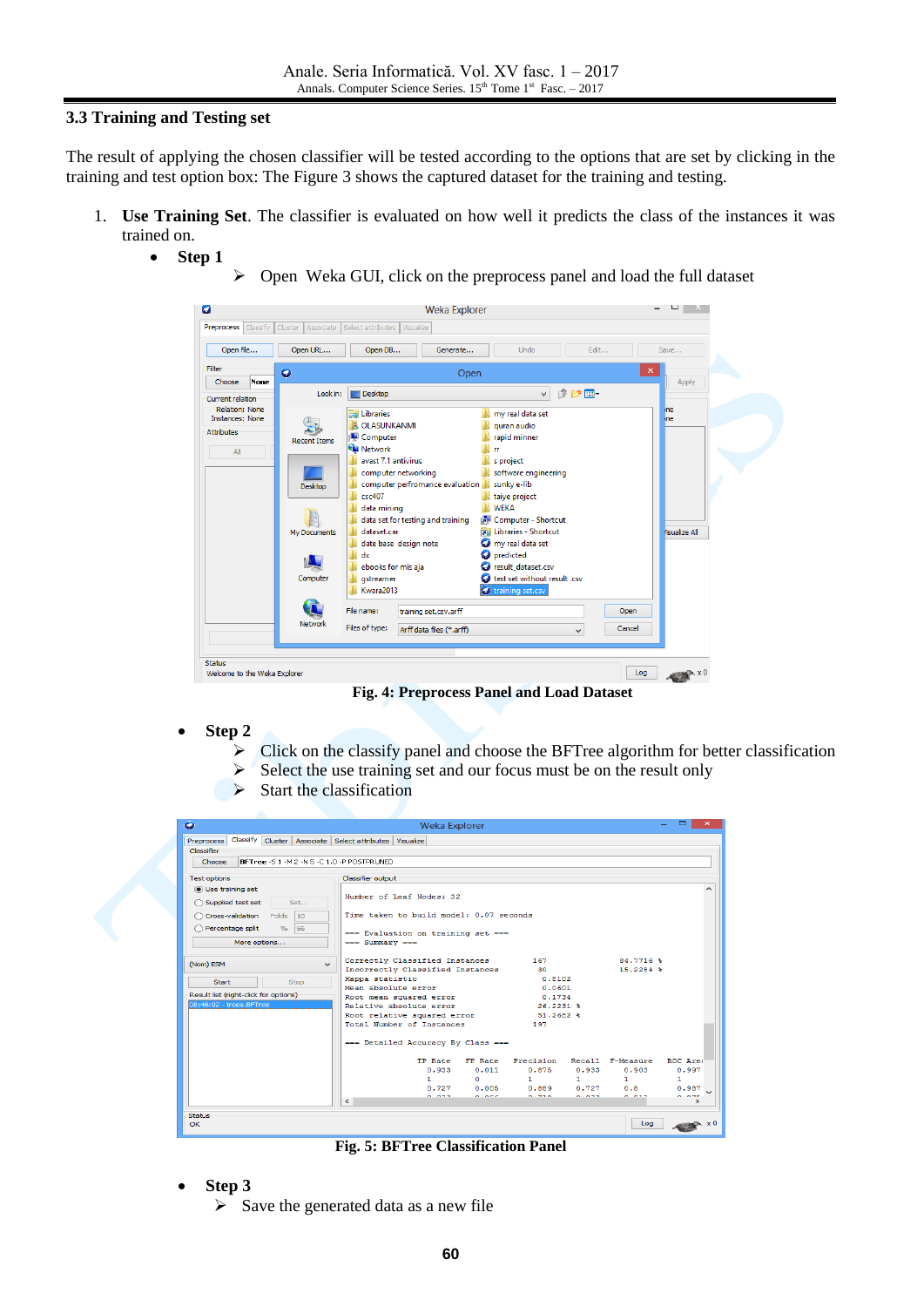### **3.3 Training and Testing set**

The result of applying the chosen classifier will be tested according to the options that are set by clicking in the training and test option box: The Figure 3 shows the captured dataset for the training and testing.

- 1. **Use Training Set**. The classifier is evaluated on how well it predicts the class of the instances it was trained on.
	- **Step 1**
- $\triangleright$  Open Weka GUI, click on the preprocess panel and load the full dataset



**Fig. 4: Preprocess Panel and Load Dataset**

- **Step 2**
	- $\triangleright$  Click on the classify panel and choose the BFTree algorithm for better classification
	- $\triangleright$  Select the use training set and our focus must be on the result only
	- $\triangleright$  Start the classification

| ۰                                     |              |              |                                                              | <b>Weka Explorer</b>                               |                          |                     |                          |                  | $\times$       |
|---------------------------------------|--------------|--------------|--------------------------------------------------------------|----------------------------------------------------|--------------------------|---------------------|--------------------------|------------------|----------------|
| Preprocess                            |              |              | Classify Cluster   Associate   Select attributes   Visualize |                                                    |                          |                     |                          |                  |                |
| Classifier                            |              |              |                                                              |                                                    |                          |                     |                          |                  |                |
| Choose                                |              |              | BFTree -S 1 -M 2 -N 5 -C 1.0 -P POSTPRUNED                   |                                                    |                          |                     |                          |                  |                |
| <b>Test options</b>                   |              |              | Classifier output                                            |                                                    |                          |                     |                          |                  |                |
| (a) Use training set                  |              |              |                                                              |                                                    |                          |                     |                          |                  |                |
| ◯ Supplied test set                   |              | Set          |                                                              | Number of Leaf Nodes: 32                           |                          |                     |                          |                  |                |
| Cross-validation Folds                |              | 10           |                                                              | Time taken to build model: 0.07 seconds            |                          |                     |                          |                  |                |
| Percentage split                      |              | % 66         |                                                              |                                                    |                          |                     |                          |                  |                |
|                                       |              |              |                                                              | === Evaluation on training set ===                 |                          |                     |                          |                  |                |
|                                       | More options |              | $==$ Summary $==$                                            |                                                    |                          |                     |                          |                  |                |
|                                       |              |              |                                                              | Correctly Classified Instances                     |                          | 167                 |                          | 84.7716 \$       |                |
| (Nom) ESM                             |              | $\checkmark$ |                                                              | Incorrectly Classified Instances                   |                          | 30                  |                          | 15.2284 \$       |                |
| Start                                 |              | Stop         | Kappa statistic                                              |                                                    |                          | 0.8102              |                          |                  |                |
| Result list (right-click for options) |              |              | Mean absolute error                                          |                                                    |                          | 0.0601              |                          |                  |                |
| 08:46:02 - trees.BFTree               |              |              |                                                              | Root mean squared error<br>Relative absolute error |                          | 0.1734<br>26.2231 % |                          |                  |                |
|                                       |              |              |                                                              | Root relative squared error                        |                          | 51.2682 \$          |                          |                  |                |
|                                       |              |              |                                                              | Total Number of Instances                          |                          | 197                 |                          |                  |                |
|                                       |              |              |                                                              |                                                    |                          |                     |                          |                  |                |
|                                       |              |              |                                                              | === Detailed Accuracy By Class ===                 |                          |                     |                          |                  |                |
|                                       |              |              |                                                              |                                                    | TP Rate FP Rate          | Precision           |                          | Recall F-Measure | ROC Area       |
|                                       |              |              |                                                              | 0.933                                              | 0.011                    | 0.875               | 0.933                    | 0.903            | 0.997          |
|                                       |              |              |                                                              | п.                                                 | n.                       | 1.                  | $\mathbf{1}$             | $\mathbf{1}$     | 1              |
|                                       |              |              |                                                              | 0.022                                              | $0.727$ $0.005$<br>0.000 | 0.750               | $0.889$ $0.727$<br>0.022 | 0.8<br>0.012     | 0.987<br>0.005 |
|                                       |              |              | $\leq$                                                       |                                                    |                          |                     |                          |                  | $\rightarrow$  |
| <b>Status</b>                         |              |              |                                                              |                                                    |                          |                     |                          |                  |                |
| OK                                    |              |              |                                                              |                                                    |                          |                     |                          | Log              | $\times 0$     |

**Fig. 5: BFTree Classification Panel**

- **Step 3**
	- $\triangleright$  Save the generated data as a new file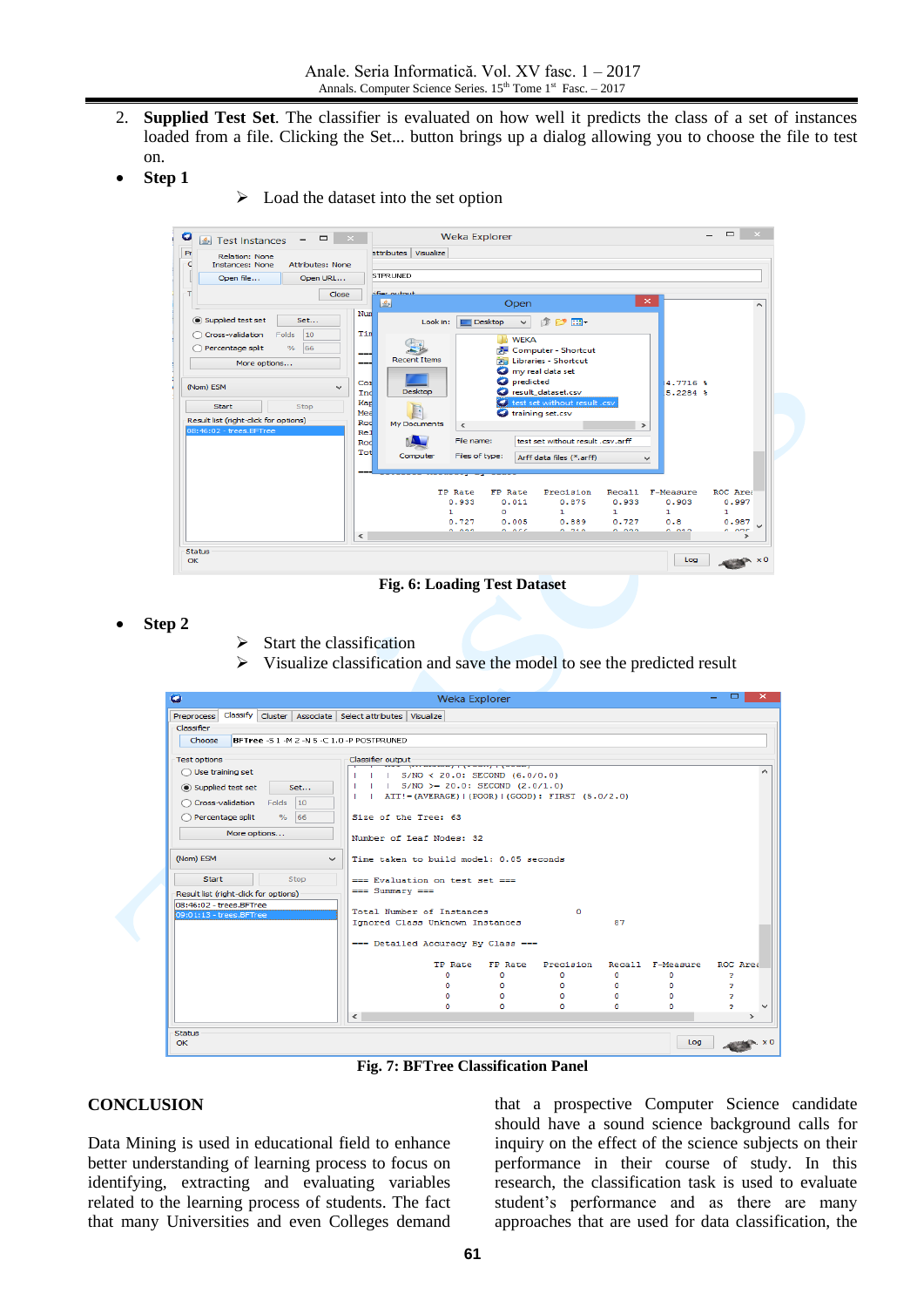- 2. **Supplied Test Set**. The classifier is evaluated on how well it predicts the class of a set of instances loaded from a file. Clicking the Set... button brings up a dialog allowing you to choose the file to test on.
- **Step 1**
- $\triangleright$  Load the dataset into the set option



**Fig. 6: Loading Test Dataset**

- **Step 2**
- $\triangleright$  Start the classification
- $\triangleright$  Visualize classification and save the model to see the predicted result

| ۰                                                  |                                                                                                                                                                                                                                                                                                                                                                                                                                                                                                                                                                                                                                                                                                                |          |          |    |          |     | $\Box$         | $\mathbf{x}$  |
|----------------------------------------------------|----------------------------------------------------------------------------------------------------------------------------------------------------------------------------------------------------------------------------------------------------------------------------------------------------------------------------------------------------------------------------------------------------------------------------------------------------------------------------------------------------------------------------------------------------------------------------------------------------------------------------------------------------------------------------------------------------------------|----------|----------|----|----------|-----|----------------|---------------|
| Preprocess                                         |                                                                                                                                                                                                                                                                                                                                                                                                                                                                                                                                                                                                                                                                                                                |          |          |    |          |     |                |               |
| Classifier                                         |                                                                                                                                                                                                                                                                                                                                                                                                                                                                                                                                                                                                                                                                                                                |          |          |    |          |     |                |               |
| Choose                                             |                                                                                                                                                                                                                                                                                                                                                                                                                                                                                                                                                                                                                                                                                                                |          |          |    |          |     |                |               |
| Test options                                       |                                                                                                                                                                                                                                                                                                                                                                                                                                                                                                                                                                                                                                                                                                                |          |          |    |          |     |                |               |
| $\bigcirc$ Use training set                        |                                                                                                                                                                                                                                                                                                                                                                                                                                                                                                                                                                                                                                                                                                                |          |          |    |          |     |                |               |
| (a) Supplied test set                              |                                                                                                                                                                                                                                                                                                                                                                                                                                                                                                                                                                                                                                                                                                                |          |          |    |          |     |                |               |
|                                                    |                                                                                                                                                                                                                                                                                                                                                                                                                                                                                                                                                                                                                                                                                                                |          |          |    |          |     |                |               |
| Cross-validation Folds                             |                                                                                                                                                                                                                                                                                                                                                                                                                                                                                                                                                                                                                                                                                                                |          |          |    |          |     |                |               |
| $\frac{1}{2}$<br>Percentage split<br>∩             |                                                                                                                                                                                                                                                                                                                                                                                                                                                                                                                                                                                                                                                                                                                |          |          |    |          |     |                |               |
| More options                                       |                                                                                                                                                                                                                                                                                                                                                                                                                                                                                                                                                                                                                                                                                                                |          |          |    |          |     |                |               |
|                                                    |                                                                                                                                                                                                                                                                                                                                                                                                                                                                                                                                                                                                                                                                                                                |          |          |    |          |     |                |               |
| (Nom) ESM                                          | $\sim$                                                                                                                                                                                                                                                                                                                                                                                                                                                                                                                                                                                                                                                                                                         |          |          |    |          |     |                |               |
|                                                    |                                                                                                                                                                                                                                                                                                                                                                                                                                                                                                                                                                                                                                                                                                                |          |          |    |          |     |                |               |
| Start                                              |                                                                                                                                                                                                                                                                                                                                                                                                                                                                                                                                                                                                                                                                                                                |          |          |    |          |     |                |               |
| Result list (right-click for options)              |                                                                                                                                                                                                                                                                                                                                                                                                                                                                                                                                                                                                                                                                                                                |          |          |    |          |     |                |               |
| 08:46:02 - trees.BFTree<br>09:01:13 - trees.BFTree |                                                                                                                                                                                                                                                                                                                                                                                                                                                                                                                                                                                                                                                                                                                |          |          | ۰  |          |     |                |               |
|                                                    |                                                                                                                                                                                                                                                                                                                                                                                                                                                                                                                                                                                                                                                                                                                |          |          |    | 87       |     |                |               |
|                                                    |                                                                                                                                                                                                                                                                                                                                                                                                                                                                                                                                                                                                                                                                                                                |          |          |    |          |     |                |               |
|                                                    |                                                                                                                                                                                                                                                                                                                                                                                                                                                                                                                                                                                                                                                                                                                | TP Rate  | FP Rate  |    |          |     | ROC Area       |               |
|                                                    |                                                                                                                                                                                                                                                                                                                                                                                                                                                                                                                                                                                                                                                                                                                | $\Omega$ | ٥        | o  | $\Omega$ | o   | o,             |               |
|                                                    |                                                                                                                                                                                                                                                                                                                                                                                                                                                                                                                                                                                                                                                                                                                | $\Omega$ | $\Omega$ | n. | $\Omega$ | o   | $\overline{ }$ |               |
|                                                    | <b>Weka Explorer</b><br>Classify Cluster   Associate   Select attributes   Visualize<br>BFTree -S 1 -M 2 -N 5 -C 1.0 -P POSTPRUNED<br>Classifier output<br>$S/NO < 20.0$ : SECOND $(6.0/0.0)$<br>$ $ S/NO >= 20.0: SECOND (2.0/1.0)<br>Set<br>ATT!=(AVERAGE) (POOR) (GOOD): FIRST (5.0/2.0)<br>10 <sup>1</sup><br>66<br>Size of the Tree: 63<br>Number of Leaf Nodes: 32<br>Time taken to build model: 0.05 seconds<br><b>Stop</b><br>=== Evaluation on test set ===<br>$==$ Summary $==$<br>Total Number of Instances<br>Ignored Class Unknown Instances<br>=== Detailed Accuracy By Class ===<br>Precision<br>Recall F-Measure<br>n.<br>n.<br>n.<br>n.<br>n<br>$\Omega$<br>n.<br>o<br>n.<br>o<br>$\tilde{~}$ |          |          | o, |          |     |                |               |
|                                                    |                                                                                                                                                                                                                                                                                                                                                                                                                                                                                                                                                                                                                                                                                                                |          |          |    |          |     | ò.             | $\rightarrow$ |
|                                                    |                                                                                                                                                                                                                                                                                                                                                                                                                                                                                                                                                                                                                                                                                                                |          |          |    |          |     |                |               |
| <b>Status</b><br>OK                                |                                                                                                                                                                                                                                                                                                                                                                                                                                                                                                                                                                                                                                                                                                                |          |          |    |          | Log |                |               |
|                                                    |                                                                                                                                                                                                                                                                                                                                                                                                                                                                                                                                                                                                                                                                                                                |          |          |    |          |     |                |               |

**Fig. 7: BFTree Classification Panel**

## **CONCLUSION**

Data Mining is used in educational field to enhance better understanding of learning process to focus on identifying, extracting and evaluating variables related to the learning process of students. The fact that many Universities and even Colleges demand

that a prospective Computer Science candidate should have a sound science background calls for inquiry on the effect of the science subjects on their performance in their course of study. In this research, the classification task is used to evaluate student's performance and as there are many approaches that are used for data classification, the